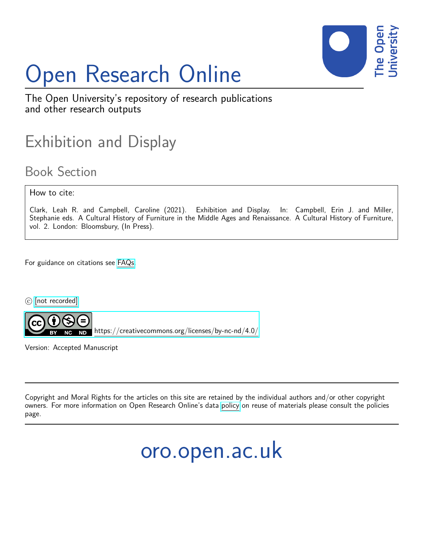

# Open Research Online

The Open University's repository of research publications and other research outputs

## Exhibition and Display

### Book Section

How to cite:

Clark, Leah R. and Campbell, Caroline (2021). Exhibition and Display. In: Campbell, Erin J. and Miller, Stephanie eds. A Cultural History of Furniture in the Middle Ages and Renaissance. A Cultural History of Furniture, vol. 2. London: Bloomsbury, (In Press).

For guidance on citations see [FAQs.](http://oro.open.ac.uk/help/helpfaq.html)

c [\[not recorded\]](http://oro.open.ac.uk/help/helpfaq.html#Unrecorded_information_on_coversheet)



<https://creativecommons.org/licenses/by-nc-nd/4.0/>

Version: Accepted Manuscript

Copyright and Moral Rights for the articles on this site are retained by the individual authors and/or other copyright owners. For more information on Open Research Online's data [policy](http://oro.open.ac.uk/policies.html) on reuse of materials please consult the policies page.

oro.open.ac.uk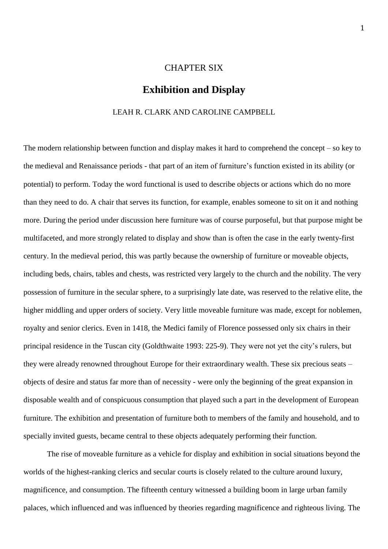#### CHAPTER SIX

#### **Exhibition and Display**

#### LEAH R. CLARK AND CAROLINE CAMPBELL

The modern relationship between function and display makes it hard to comprehend the concept – so key to the medieval and Renaissance periods - that part of an item of furniture's function existed in its ability (or potential) to perform. Today the word functional is used to describe objects or actions which do no more than they need to do. A chair that serves its function, for example, enables someone to sit on it and nothing more. During the period under discussion here furniture was of course purposeful, but that purpose might be multifaceted, and more strongly related to display and show than is often the case in the early twenty-first century. In the medieval period, this was partly because the ownership of furniture or moveable objects, including beds, chairs, tables and chests, was restricted very largely to the church and the nobility. The very possession of furniture in the secular sphere, to a surprisingly late date, was reserved to the relative elite, the higher middling and upper orders of society. Very little moveable furniture was made, except for noblemen, royalty and senior clerics. Even in 1418, the Medici family of Florence possessed only six chairs in their principal residence in the Tuscan city (Goldthwaite 1993: 225-9). They were not yet the city's rulers, but they were already renowned throughout Europe for their extraordinary wealth. These six precious seats – objects of desire and status far more than of necessity - were only the beginning of the great expansion in disposable wealth and of conspicuous consumption that played such a part in the development of European furniture. The exhibition and presentation of furniture both to members of the family and household, and to specially invited guests, became central to these objects adequately performing their function.

The rise of moveable furniture as a vehicle for display and exhibition in social situations beyond the worlds of the highest-ranking clerics and secular courts is closely related to the culture around luxury, magnificence, and consumption. The fifteenth century witnessed a building boom in large urban family palaces, which influenced and was influenced by theories regarding magnificence and righteous living. The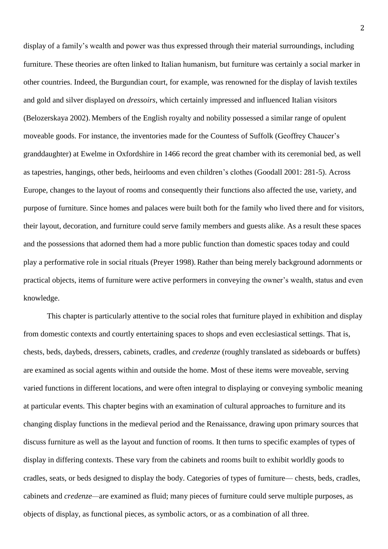display of a family's wealth and power was thus expressed through their material surroundings, including furniture. These theories are often linked to Italian humanism, but furniture was certainly a social marker in other countries. Indeed, the Burgundian court, for example, was renowned for the display of lavish textiles and gold and silver displayed on *dressoirs*, which certainly impressed and influenced Italian visitors (Belozerskaya 2002). Members of the English royalty and nobility possessed a similar range of opulent moveable goods. For instance, the inventories made for the Countess of Suffolk (Geoffrey Chaucer's granddaughter) at Ewelme in Oxfordshire in 1466 record the great chamber with its ceremonial bed, as well as tapestries, hangings, other beds, heirlooms and even children's clothes (Goodall 2001: 281-5). Across Europe, changes to the layout of rooms and consequently their functions also affected the use, variety, and purpose of furniture. Since homes and palaces were built both for the family who lived there and for visitors, their layout, decoration, and furniture could serve family members and guests alike. As a result these spaces and the possessions that adorned them had a more public function than domestic spaces today and could play a performative role in social rituals (Preyer 1998). Rather than being merely background adornments or practical objects, items of furniture were active performers in conveying the owner's wealth, status and even knowledge.

This chapter is particularly attentive to the social roles that furniture played in exhibition and display from domestic contexts and courtly entertaining spaces to shops and even ecclesiastical settings. That is, chests, beds, daybeds, dressers, cabinets, cradles, and *credenze* (roughly translated as sideboards or buffets) are examined as social agents within and outside the home. Most of these items were moveable, serving varied functions in different locations, and were often integral to displaying or conveying symbolic meaning at particular events. This chapter begins with an examination of cultural approaches to furniture and its changing display functions in the medieval period and the Renaissance, drawing upon primary sources that discuss furniture as well as the layout and function of rooms. It then turns to specific examples of types of display in differing contexts. These vary from the cabinets and rooms built to exhibit worldly goods to cradles, seats, or beds designed to display the body. Categories of types of furniture— chests, beds, cradles, cabinets and *credenze—*are examined as fluid; many pieces of furniture could serve multiple purposes, as objects of display, as functional pieces, as symbolic actors, or as a combination of all three.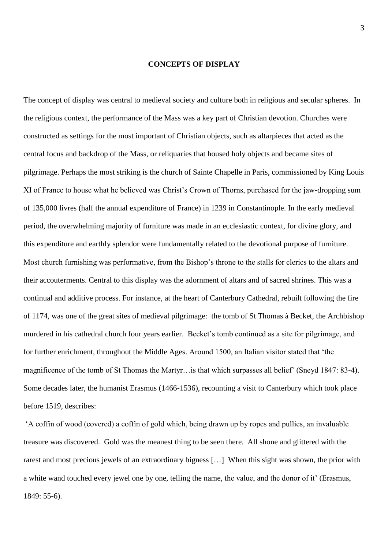#### **CONCEPTS OF DISPLAY**

The concept of display was central to medieval society and culture both in religious and secular spheres. In the religious context, the performance of the Mass was a key part of Christian devotion. Churches were constructed as settings for the most important of Christian objects, such as altarpieces that acted as the central focus and backdrop of the Mass, or reliquaries that housed holy objects and became sites of pilgrimage. Perhaps the most striking is the church of Sainte Chapelle in Paris, commissioned by King Louis XI of France to house what he believed was Christ's Crown of Thorns, purchased for the jaw-dropping sum of 135,000 livres (half the annual expenditure of France) in 1239 in Constantinople. In the early medieval period, the overwhelming majority of furniture was made in an ecclesiastic context, for divine glory, and this expenditure and earthly splendor were fundamentally related to the devotional purpose of furniture. Most church furnishing was performative, from the Bishop's throne to the stalls for clerics to the altars and their accouterments. Central to this display was the adornment of altars and of sacred shrines. This was a continual and additive process. For instance, at the heart of Canterbury Cathedral, rebuilt following the fire of 1174, was one of the great sites of medieval pilgrimage: the tomb of St Thomas à Becket, the Archbishop murdered in his cathedral church four years earlier. Becket's tomb continued as a site for pilgrimage, and for further enrichment, throughout the Middle Ages. Around 1500, an Italian visitor stated that 'the magnificence of the tomb of St Thomas the Martyr…is that which surpasses all belief' (Sneyd 1847: 83-4). Some decades later, the humanist Erasmus (1466-1536), recounting a visit to Canterbury which took place before 1519, describes:

'A coffin of wood (covered) a coffin of gold which, being drawn up by ropes and pullies, an invaluable treasure was discovered. Gold was the meanest thing to be seen there. All shone and glittered with the rarest and most precious jewels of an extraordinary bigness […] When this sight was shown, the prior with a white wand touched every jewel one by one, telling the name, the value, and the donor of it' (Erasmus, 1849: 55-6).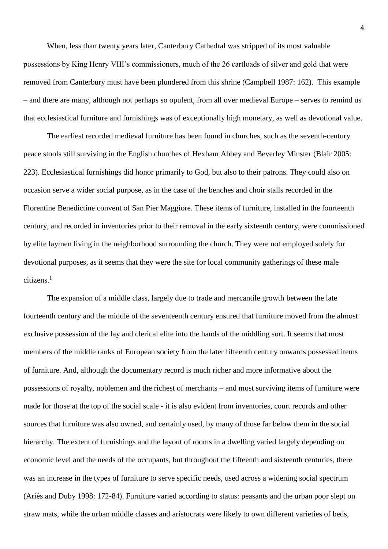When, less than twenty years later, Canterbury Cathedral was stripped of its most valuable possessions by King Henry VIII's commissioners, much of the 26 cartloads of silver and gold that were removed from Canterbury must have been plundered from this shrine (Campbell 1987: 162). This example – and there are many, although not perhaps so opulent, from all over medieval Europe – serves to remind us that ecclesiastical furniture and furnishings was of exceptionally high monetary, as well as devotional value.

The earliest recorded medieval furniture has been found in churches, such as the seventh-century peace stools still surviving in the English churches of Hexham Abbey and Beverley Minster (Blair 2005: 223). Ecclesiastical furnishings did honor primarily to God, but also to their patrons. They could also on occasion serve a wider social purpose, as in the case of the benches and choir stalls recorded in the Florentine Benedictine convent of San Pier Maggiore. These items of furniture, installed in the fourteenth century, and recorded in inventories prior to their removal in the early sixteenth century, were commissioned by elite laymen living in the neighborhood surrounding the church. They were not employed solely for devotional purposes, as it seems that they were the site for local community gatherings of these male citizens.<sup>1</sup>

The expansion of a middle class, largely due to trade and mercantile growth between the late fourteenth century and the middle of the seventeenth century ensured that furniture moved from the almost exclusive possession of the lay and clerical elite into the hands of the middling sort. It seems that most members of the middle ranks of European society from the later fifteenth century onwards possessed items of furniture. And, although the documentary record is much richer and more informative about the possessions of royalty, noblemen and the richest of merchants – and most surviving items of furniture were made for those at the top of the social scale - it is also evident from inventories, court records and other sources that furniture was also owned, and certainly used, by many of those far below them in the social hierarchy. The extent of furnishings and the layout of rooms in a dwelling varied largely depending on economic level and the needs of the occupants, but throughout the fifteenth and sixteenth centuries, there was an increase in the types of furniture to serve specific needs, used across a widening social spectrum (Ariès and Duby 1998: 172-84). Furniture varied according to status: peasants and the urban poor slept on straw mats, while the urban middle classes and aristocrats were likely to own different varieties of beds,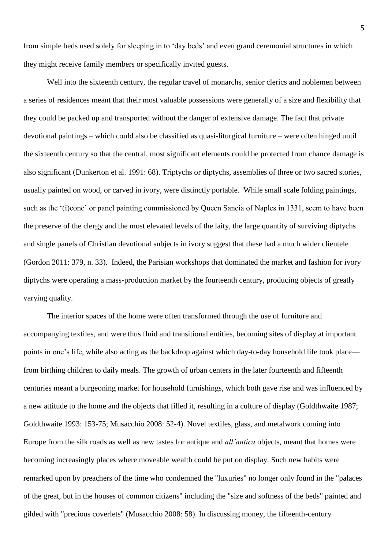from simple beds used solely for sleeping in to 'day beds' and even grand ceremonial structures in which they might receive family members or specifically invited guests.

Well into the sixteenth century, the regular travel of monarchs, senior clerics and noblemen between a series of residences meant that their most valuable possessions were generally of a size and flexibility that they could be packed up and transported without the danger of extensive damage. The fact that private devotional paintings – which could also be classified as quasi-liturgical furniture – were often hinged until the sixteenth century so that the central, most significant elements could be protected from chance damage is also significant (Dunkerton et al. 1991: 68). Triptychs or diptychs, assemblies of three or two sacred stories, usually painted on wood, or carved in ivory, were distinctly portable. While small scale folding paintings, such as the '(i)cone' or panel painting commissioned by Queen Sancia of Naples in 1331, seem to have been the preserve of the clergy and the most elevated levels of the laity, the large quantity of surviving diptychs and single panels of Christian devotional subjects in ivory suggest that these had a much wider clientele (Gordon 2011: 379, n. 33). Indeed, the Parisian workshops that dominated the market and fashion for ivory diptychs were operating a mass-production market by the fourteenth century, producing objects of greatly varying quality.

The interior spaces of the home were often transformed through the use of furniture and accompanying textiles, and were thus fluid and transitional entities, becoming sites of display at important points in one's life, while also acting as the backdrop against which day-to-day household life took place from birthing children to daily meals. The growth of urban centers in the later fourteenth and fifteenth centuries meant a burgeoning market for household furnishings, which both gave rise and was influenced by a new attitude to the home and the objects that filled it, resulting in a culture of display (Goldthwaite 1987; Goldthwaite 1993: 153-75; Musacchio 2008: 52-4). Novel textiles, glass, and metalwork coming into Europe from the silk roads as well as new tastes for antique and *all'antica* objects, meant that homes were becoming increasingly places where moveable wealth could be put on display. Such new habits were remarked upon by preachers of the time who condemned the "luxuries" no longer only found in the "palaces of the great, but in the houses of common citizens" including the "size and softness of the beds" painted and gilded with "precious coverlets" (Musacchio 2008: 58). In discussing money, the fifteenth-century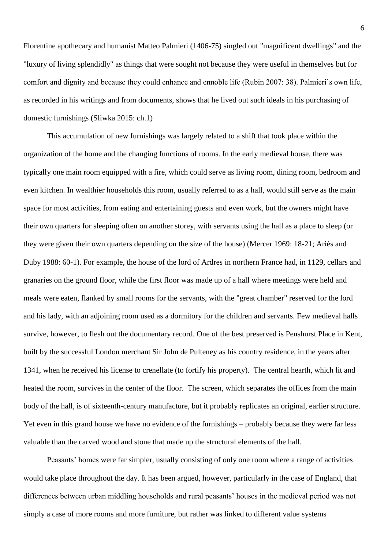Florentine apothecary and humanist Matteo Palmieri (1406-75) singled out "magnificent dwellings" and the "luxury of living splendidly" as things that were sought not because they were useful in themselves but for comfort and dignity and because they could enhance and ennoble life (Rubin 2007: 38). Palmieri's own life, as recorded in his writings and from documents, shows that he lived out such ideals in his purchasing of domestic furnishings (Sliwka 2015: ch.1)

This accumulation of new furnishings was largely related to a shift that took place within the organization of the home and the changing functions of rooms. In the early medieval house, there was typically one main room equipped with a fire, which could serve as living room, dining room, bedroom and even kitchen. In wealthier households this room, usually referred to as a hall, would still serve as the main space for most activities, from eating and entertaining guests and even work, but the owners might have their own quarters for sleeping often on another storey, with servants using the hall as a place to sleep (or they were given their own quarters depending on the size of the house) (Mercer 1969: 18-21; Ariès and Duby 1988: 60-1). For example, the house of the lord of Ardres in northern France had, in 1129, cellars and granaries on the ground floor, while the first floor was made up of a hall where meetings were held and meals were eaten, flanked by small rooms for the servants, with the "great chamber" reserved for the lord and his lady, with an adjoining room used as a dormitory for the children and servants. Few medieval halls survive, however, to flesh out the documentary record. One of the best preserved is Penshurst Place in Kent, built by the successful London merchant Sir John de Pulteney as his country residence, in the years after 1341, when he received his license to crenellate (to fortify his property). The central hearth, which lit and heated the room, survives in the center of the floor. The screen, which separates the offices from the main body of the hall, is of sixteenth-century manufacture, but it probably replicates an original, earlier structure. Yet even in this grand house we have no evidence of the furnishings – probably because they were far less valuable than the carved wood and stone that made up the structural elements of the hall.

Peasants' homes were far simpler, usually consisting of only one room where a range of activities would take place throughout the day. It has been argued, however, particularly in the case of England, that differences between urban middling households and rural peasants' houses in the medieval period was not simply a case of more rooms and more furniture, but rather was linked to different value systems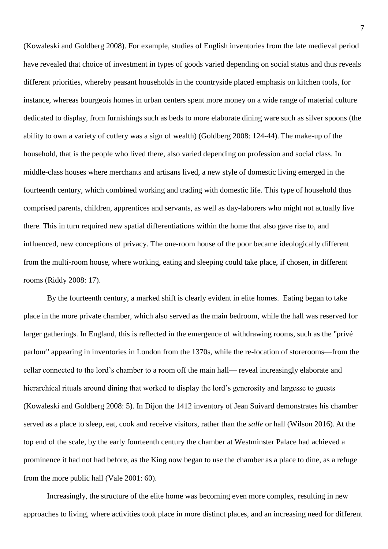(Kowaleski and Goldberg 2008). For example, studies of English inventories from the late medieval period have revealed that choice of investment in types of goods varied depending on social status and thus reveals different priorities, whereby peasant households in the countryside placed emphasis on kitchen tools, for instance, whereas bourgeois homes in urban centers spent more money on a wide range of material culture dedicated to display, from furnishings such as beds to more elaborate dining ware such as silver spoons (the ability to own a variety of cutlery was a sign of wealth) (Goldberg 2008: 124-44). The make-up of the household, that is the people who lived there, also varied depending on profession and social class. In middle-class houses where merchants and artisans lived, a new style of domestic living emerged in the fourteenth century, which combined working and trading with domestic life. This type of household thus comprised parents, children, apprentices and servants, as well as day-laborers who might not actually live there. This in turn required new spatial differentiations within the home that also gave rise to, and influenced, new conceptions of privacy. The one-room house of the poor became ideologically different from the multi-room house, where working, eating and sleeping could take place, if chosen, in different rooms (Riddy 2008: 17).

By the fourteenth century, a marked shift is clearly evident in elite homes. Eating began to take place in the more private chamber, which also served as the main bedroom, while the hall was reserved for larger gatherings. In England, this is reflected in the emergence of withdrawing rooms, such as the "privé parlour" appearing in inventories in London from the 1370s, while the re-location of storerooms—from the cellar connected to the lord's chamber to a room off the main hall— reveal increasingly elaborate and hierarchical rituals around dining that worked to display the lord's generosity and largesse to guests (Kowaleski and Goldberg 2008: 5). In Dijon the 1412 inventory of Jean Suivard demonstrates his chamber served as a place to sleep, eat, cook and receive visitors, rather than the *salle* or hall (Wilson 2016). At the top end of the scale, by the early fourteenth century the chamber at Westminster Palace had achieved a prominence it had not had before, as the King now began to use the chamber as a place to dine, as a refuge from the more public hall (Vale 2001: 60).

Increasingly, the structure of the elite home was becoming even more complex, resulting in new approaches to living, where activities took place in more distinct places, and an increasing need for different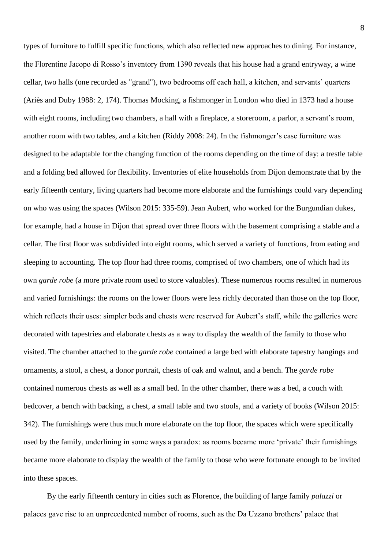types of furniture to fulfill specific functions, which also reflected new approaches to dining. For instance, the Florentine Jacopo di Rosso's inventory from 1390 reveals that his house had a grand entryway, a wine cellar, two halls (one recorded as "grand"), two bedrooms off each hall, a kitchen, and servants' quarters (Ariès and Duby 1988: 2, 174). Thomas Mocking, a fishmonger in London who died in 1373 had a house with eight rooms, including two chambers, a hall with a fireplace, a storeroom, a parlor, a servant's room, another room with two tables, and a kitchen (Riddy 2008: 24). In the fishmonger's case furniture was designed to be adaptable for the changing function of the rooms depending on the time of day: a trestle table and a folding bed allowed for flexibility. Inventories of elite households from Dijon demonstrate that by the early fifteenth century, living quarters had become more elaborate and the furnishings could vary depending on who was using the spaces (Wilson 2015: 335-59). Jean Aubert, who worked for the Burgundian dukes, for example, had a house in Dijon that spread over three floors with the basement comprising a stable and a cellar. The first floor was subdivided into eight rooms, which served a variety of functions, from eating and sleeping to accounting. The top floor had three rooms, comprised of two chambers, one of which had its own *garde robe* (a more private room used to store valuables). These numerous rooms resulted in numerous and varied furnishings: the rooms on the lower floors were less richly decorated than those on the top floor, which reflects their uses: simpler beds and chests were reserved for Aubert's staff, while the galleries were decorated with tapestries and elaborate chests as a way to display the wealth of the family to those who visited. The chamber attached to the *garde robe* contained a large bed with elaborate tapestry hangings and ornaments, a stool, a chest, a donor portrait, chests of oak and walnut, and a bench. The *garde robe* contained numerous chests as well as a small bed. In the other chamber, there was a bed, a couch with bedcover, a bench with backing, a chest, a small table and two stools, and a variety of books (Wilson 2015: 342). The furnishings were thus much more elaborate on the top floor, the spaces which were specifically used by the family, underlining in some ways a paradox: as rooms became more 'private' their furnishings became more elaborate to display the wealth of the family to those who were fortunate enough to be invited into these spaces.

By the early fifteenth century in cities such as Florence, the building of large family *palazzi* or palaces gave rise to an unprecedented number of rooms, such as the Da Uzzano brothers' palace that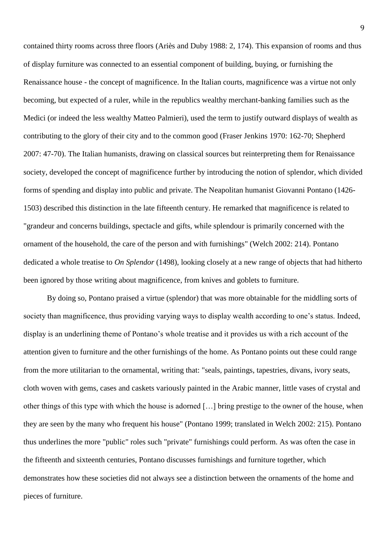contained thirty rooms across three floors (Ariès and Duby 1988: 2, 174). This expansion of rooms and thus of display furniture was connected to an essential component of building, buying, or furnishing the Renaissance house - the concept of magnificence. In the Italian courts, magnificence was a virtue not only becoming, but expected of a ruler, while in the republics wealthy merchant-banking families such as the Medici (or indeed the less wealthy Matteo Palmieri), used the term to justify outward displays of wealth as contributing to the glory of their city and to the common good (Fraser Jenkins 1970: 162-70; Shepherd 2007: 47-70). The Italian humanists, drawing on classical sources but reinterpreting them for Renaissance society, developed the concept of magnificence further by introducing the notion of splendor, which divided forms of spending and display into public and private. The Neapolitan humanist Giovanni Pontano (1426- 1503) described this distinction in the late fifteenth century. He remarked that magnificence is related to "grandeur and concerns buildings, spectacle and gifts, while splendour is primarily concerned with the ornament of the household, the care of the person and with furnishings" (Welch 2002: 214). Pontano dedicated a whole treatise to *On Splendor* (1498), looking closely at a new range of objects that had hitherto been ignored by those writing about magnificence, from knives and goblets to furniture.

By doing so, Pontano praised a virtue (splendor) that was more obtainable for the middling sorts of society than magnificence, thus providing varying ways to display wealth according to one's status. Indeed, display is an underlining theme of Pontano's whole treatise and it provides us with a rich account of the attention given to furniture and the other furnishings of the home. As Pontano points out these could range from the more utilitarian to the ornamental, writing that: "seals, paintings, tapestries, divans, ivory seats, cloth woven with gems, cases and caskets variously painted in the Arabic manner, little vases of crystal and other things of this type with which the house is adorned […] bring prestige to the owner of the house, when they are seen by the many who frequent his house" (Pontano 1999; translated in Welch 2002: 215). Pontano thus underlines the more "public" roles such "private" furnishings could perform. As was often the case in the fifteenth and sixteenth centuries, Pontano discusses furnishings and furniture together, which demonstrates how these societies did not always see a distinction between the ornaments of the home and pieces of furniture.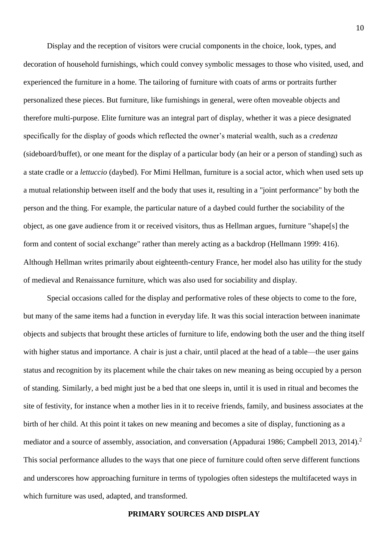Display and the reception of visitors were crucial components in the choice, look, types, and decoration of household furnishings, which could convey symbolic messages to those who visited, used, and experienced the furniture in a home. The tailoring of furniture with coats of arms or portraits further personalized these pieces. But furniture, like furnishings in general, were often moveable objects and therefore multi-purpose. Elite furniture was an integral part of display, whether it was a piece designated specifically for the display of goods which reflected the owner's material wealth, such as a *credenza* (sideboard/buffet), or one meant for the display of a particular body (an heir or a person of standing) such as a state cradle or a *lettuccio* (daybed). For Mimi Hellman, furniture is a social actor, which when used sets up a mutual relationship between itself and the body that uses it, resulting in a "joint performance" by both the person and the thing. For example, the particular nature of a daybed could further the sociability of the object, as one gave audience from it or received visitors, thus as Hellman argues, furniture "shape[s] the form and content of social exchange" rather than merely acting as a backdrop (Hellmann 1999: 416). Although Hellman writes primarily about eighteenth-century France, her model also has utility for the study of medieval and Renaissance furniture, which was also used for sociability and display.

Special occasions called for the display and performative roles of these objects to come to the fore, but many of the same items had a function in everyday life. It was this social interaction between inanimate objects and subjects that brought these articles of furniture to life, endowing both the user and the thing itself with higher status and importance. A chair is just a chair, until placed at the head of a table—the user gains status and recognition by its placement while the chair takes on new meaning as being occupied by a person of standing. Similarly, a bed might just be a bed that one sleeps in, until it is used in ritual and becomes the site of festivity, for instance when a mother lies in it to receive friends, family, and business associates at the birth of her child. At this point it takes on new meaning and becomes a site of display, functioning as a mediator and a source of assembly, association, and conversation (Appadurai 1986; Campbell 2013, 2014).<sup>2</sup> This social performance alludes to the ways that one piece of furniture could often serve different functions and underscores how approaching furniture in terms of typologies often sidesteps the multifaceted ways in which furniture was used, adapted, and transformed.

#### **PRIMARY SOURCES AND DISPLAY**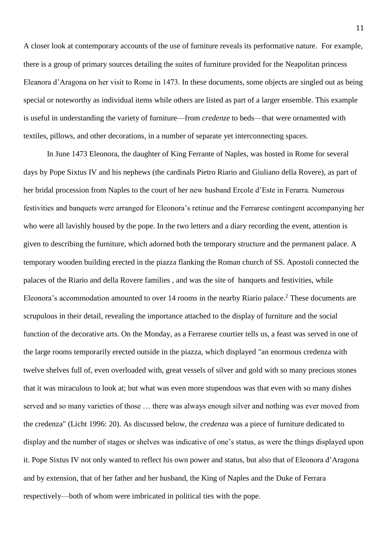A closer look at contemporary accounts of the use of furniture reveals its performative nature. For example, there is a group of primary sources detailing the suites of furniture provided for the Neapolitan princess Eleanora d'Aragona on her visit to Rome in 1473. In these documents, some objects are singled out as being special or noteworthy as individual items while others are listed as part of a larger ensemble. This example is useful in understanding the variety of furniture—from *credenze* to beds—that were ornamented with textiles, pillows, and other decorations, in a number of separate yet interconnecting spaces.

In June 1473 Eleonora, the daughter of King Ferrante of Naples, was hosted in Rome for several days by Pope Sixtus IV and his nephews (the cardinals Pietro Riario and Giuliano della Rovere), as part of her bridal procession from Naples to the court of her new husband Ercole d'Este in Ferarra. Numerous festivities and banquets were arranged for Eleonora's retinue and the Ferrarese contingent accompanying her who were all lavishly housed by the pope. In the two letters and a diary recording the event, attention is given to describing the furniture, which adorned both the temporary structure and the permanent palace. A temporary wooden building erected in the piazza flanking the Roman church of SS. Apostoli connected the palaces of the Riario and della Rovere families , and was the site of banquets and festivities, while Eleonora's accommodation amounted to over 14 rooms in the nearby Riario palace.<sup>2</sup> These documents are scrupulous in their detail, revealing the importance attached to the display of furniture and the social function of the decorative arts. On the Monday, as a Ferrarese courtier tells us, a feast was served in one of the large rooms temporarily erected outside in the piazza, which displayed "an enormous credenza with twelve shelves full of, even overloaded with, great vessels of silver and gold with so many precious stones that it was miraculous to look at; but what was even more stupendous was that even with so many dishes served and so many varieties of those … there was always enough silver and nothing was ever moved from the credenza" (Licht 1996: 20). As discussed below, the *credenza* was a piece of furniture dedicated to display and the number of stages or shelves was indicative of one's status, as were the things displayed upon it. Pope Sixtus IV not only wanted to reflect his own power and status, but also that of Eleonora d'Aragona and by extension, that of her father and her husband, the King of Naples and the Duke of Ferrara respectively—both of whom were imbricated in political ties with the pope.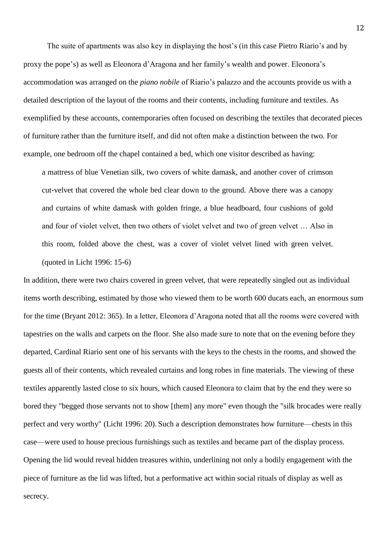The suite of apartments was also key in displaying the host's (in this case Pietro Riario's and by proxy the pope's) as well as Eleonora d'Aragona and her family's wealth and power. Eleonora's accommodation was arranged on the *piano nobile* of Riario's palazzo and the accounts provide us with a detailed description of the layout of the rooms and their contents, including furniture and textiles. As exemplified by these accounts, contemporaries often focused on describing the textiles that decorated pieces of furniture rather than the furniture itself, and did not often make a distinction between the two. For example, one bedroom off the chapel contained a bed, which one visitor described as having:

a mattress of blue Venetian silk, two covers of white damask, and another cover of crimson cut-velvet that covered the whole bed clear down to the ground. Above there was a canopy and curtains of white damask with golden fringe, a blue headboard, four cushions of gold and four of violet velvet, then two others of violet velvet and two of green velvet … Also in this room, folded above the chest, was a cover of violet velvet lined with green velvet. (quoted in Licht 1996: 15-6)

In addition, there were two chairs covered in green velvet, that were repeatedly singled out as individual items worth describing, estimated by those who viewed them to be worth 600 ducats each, an enormous sum for the time (Bryant 2012: 365). In a letter, Eleonora d'Aragona noted that all the rooms were covered with tapestries on the walls and carpets on the floor. She also made sure to note that on the evening before they departed, Cardinal Riario sent one of his servants with the keys to the chests in the rooms, and showed the guests all of their contents, which revealed curtains and long robes in fine materials. The viewing of these textiles apparently lasted close to six hours, which caused Eleonora to claim that by the end they were so bored they "begged those servants not to show [them] any more" even though the "silk brocades were really perfect and very worthy" (Licht 1996: 20). Such a description demonstrates how furniture—chests in this case—were used to house precious furnishings such as textiles and became part of the display process. Opening the lid would reveal hidden treasures within, underlining not only a bodily engagement with the piece of furniture as the lid was lifted, but a performative act within social rituals of display as well as secrecy.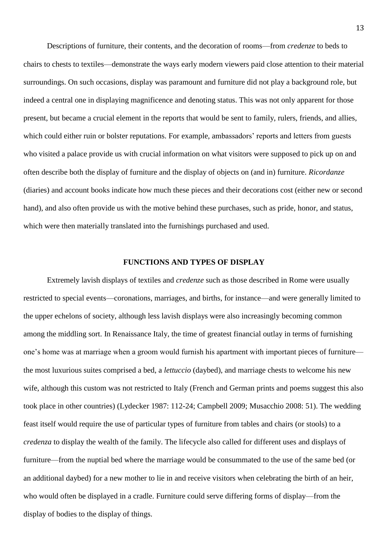Descriptions of furniture, their contents, and the decoration of rooms—from *credenze* to beds to chairs to chests to textiles—demonstrate the ways early modern viewers paid close attention to their material surroundings. On such occasions, display was paramount and furniture did not play a background role, but indeed a central one in displaying magnificence and denoting status. This was not only apparent for those present, but became a crucial element in the reports that would be sent to family, rulers, friends, and allies, which could either ruin or bolster reputations. For example, ambassadors' reports and letters from guests who visited a palace provide us with crucial information on what visitors were supposed to pick up on and often describe both the display of furniture and the display of objects on (and in) furniture. *Ricordanze*  (diaries) and account books indicate how much these pieces and their decorations cost (either new or second hand), and also often provide us with the motive behind these purchases, such as pride, honor, and status, which were then materially translated into the furnishings purchased and used.

#### **FUNCTIONS AND TYPES OF DISPLAY**

Extremely lavish displays of textiles and *credenze* such as those described in Rome were usually restricted to special events—coronations, marriages, and births, for instance—and were generally limited to the upper echelons of society, although less lavish displays were also increasingly becoming common among the middling sort. In Renaissance Italy, the time of greatest financial outlay in terms of furnishing one's home was at marriage when a groom would furnish his apartment with important pieces of furniture the most luxurious suites comprised a bed, a *lettuccio* (daybed), and marriage chests to welcome his new wife, although this custom was not restricted to Italy (French and German prints and poems suggest this also took place in other countries) (Lydecker 1987: 112-24; Campbell 2009; Musacchio 2008: 51). The wedding feast itself would require the use of particular types of furniture from tables and chairs (or stools) to a *credenza* to display the wealth of the family. The lifecycle also called for different uses and displays of furniture—from the nuptial bed where the marriage would be consummated to the use of the same bed (or an additional daybed) for a new mother to lie in and receive visitors when celebrating the birth of an heir, who would often be displayed in a cradle. Furniture could serve differing forms of display—from the display of bodies to the display of things.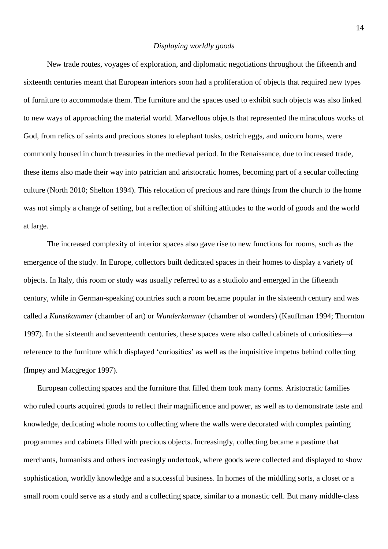#### *Displaying worldly goods*

New trade routes, voyages of exploration, and diplomatic negotiations throughout the fifteenth and sixteenth centuries meant that European interiors soon had a proliferation of objects that required new types of furniture to accommodate them. The furniture and the spaces used to exhibit such objects was also linked to new ways of approaching the material world. Marvellous objects that represented the miraculous works of God, from relics of saints and precious stones to elephant tusks, ostrich eggs, and unicorn horns, were commonly housed in church treasuries in the medieval period. In the Renaissance, due to increased trade, these items also made their way into patrician and aristocratic homes, becoming part of a secular collecting culture (North 2010; Shelton 1994). This relocation of precious and rare things from the church to the home was not simply a change of setting, but a reflection of shifting attitudes to the world of goods and the world at large.

The increased complexity of interior spaces also gave rise to new functions for rooms, such as the emergence of the study. In Europe, collectors built dedicated spaces in their homes to display a variety of objects. In Italy, this room or study was usually referred to as a studiolo and emerged in the fifteenth century, while in German-speaking countries such a room became popular in the sixteenth century and was called a *Kunstkammer* (chamber of art) or *Wunderkammer* (chamber of wonders) (Kauffman 1994; Thornton 1997). In the sixteenth and seventeenth centuries, these spaces were also called cabinets of curiosities—a reference to the furniture which displayed 'curiosities' as well as the inquisitive impetus behind collecting (Impey and Macgregor 1997).

European collecting spaces and the furniture that filled them took many forms. Aristocratic families who ruled courts acquired goods to reflect their magnificence and power, as well as to demonstrate taste and knowledge, dedicating whole rooms to collecting where the walls were decorated with complex painting programmes and cabinets filled with precious objects. Increasingly, collecting became a pastime that merchants, humanists and others increasingly undertook, where goods were collected and displayed to show sophistication, worldly knowledge and a successful business. In homes of the middling sorts, a closet or a small room could serve as a study and a collecting space, similar to a monastic cell. But many middle-class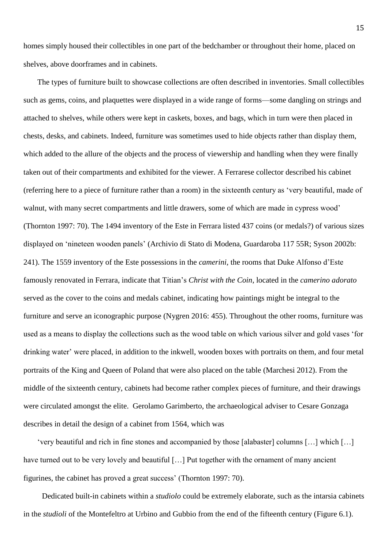homes simply housed their collectibles in one part of the bedchamber or throughout their home, placed on shelves, above doorframes and in cabinets.

The types of furniture built to showcase collections are often described in inventories. Small collectibles such as gems, coins, and plaquettes were displayed in a wide range of forms—some dangling on strings and attached to shelves, while others were kept in caskets, boxes, and bags, which in turn were then placed in chests, desks, and cabinets. Indeed, furniture was sometimes used to hide objects rather than display them, which added to the allure of the objects and the process of viewership and handling when they were finally taken out of their compartments and exhibited for the viewer. A Ferrarese collector described his cabinet (referring here to a piece of furniture rather than a room) in the sixteenth century as 'very beautiful, made of walnut, with many secret compartments and little drawers, some of which are made in cypress wood' (Thornton 1997: 70). The 1494 inventory of the Este in Ferrara listed 437 coins (or medals?) of various sizes displayed on 'nineteen wooden panels' (Archivio di Stato di Modena, Guardaroba 117 55R; Syson 2002b: 241). The 1559 inventory of the Este possessions in the *camerini,* the rooms that Duke Alfonso d'Este famously renovated in Ferrara, indicate that Titian's *Christ with the Coin*, located in the *camerino adorato* served as the cover to the coins and medals cabinet, indicating how paintings might be integral to the furniture and serve an iconographic purpose (Nygren 2016: 455). Throughout the other rooms, furniture was used as a means to display the collections such as the wood table on which various silver and gold vases 'for drinking water' were placed, in addition to the inkwell, wooden boxes with portraits on them, and four metal portraits of the King and Queen of Poland that were also placed on the table (Marchesi 2012). From the middle of the sixteenth century, cabinets had become rather complex pieces of furniture, and their drawings were circulated amongst the elite. Gerolamo Garimberto, the archaeological adviser to Cesare Gonzaga describes in detail the design of a cabinet from 1564, which was

'very beautiful and rich in fine stones and accompanied by those [alabaster] columns […] which […] have turned out to be very lovely and beautiful [...] Put together with the ornament of many ancient figurines, the cabinet has proved a great success' (Thornton 1997: 70).

Dedicated built-in cabinets within a *studiolo* could be extremely elaborate, such as the intarsia cabinets in the *studioli* of the Montefeltro at Urbino and Gubbio from the end of the fifteenth century (Figure 6.1).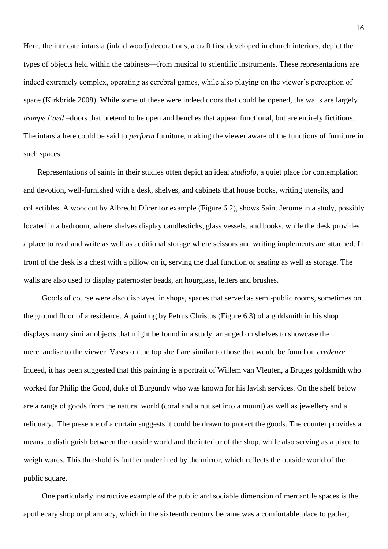Here, the intricate intarsia (inlaid wood) decorations, a craft first developed in church interiors, depict the types of objects held within the cabinets—from musical to scientific instruments. These representations are indeed extremely complex, operating as cerebral games, while also playing on the viewer's perception of space (Kirkbride 2008). While some of these were indeed doors that could be opened, the walls are largely *trompe l'oeil* –doors that pretend to be open and benches that appear functional, but are entirely fictitious. The intarsia here could be said to *perform* furniture, making the viewer aware of the functions of furniture in such spaces.

Representations of saints in their studies often depict an ideal *studiolo*, a quiet place for contemplation and devotion, well-furnished with a desk, shelves, and cabinets that house books, writing utensils, and collectibles. A woodcut by Albrecht Dürer for example (Figure 6.2), shows Saint Jerome in a study, possibly located in a bedroom, where shelves display candlesticks, glass vessels, and books, while the desk provides a place to read and write as well as additional storage where scissors and writing implements are attached. In front of the desk is a chest with a pillow on it, serving the dual function of seating as well as storage. The walls are also used to display paternoster beads, an hourglass, letters and brushes.

Goods of course were also displayed in shops, spaces that served as semi-public rooms, sometimes on the ground floor of a residence. A painting by Petrus Christus (Figure 6.3) of a goldsmith in his shop displays many similar objects that might be found in a study, arranged on shelves to showcase the merchandise to the viewer. Vases on the top shelf are similar to those that would be found on *credenze*. Indeed, it has been suggested that this painting is a portrait of Willem van Vleuten, a Bruges goldsmith who worked for Philip the Good, duke of Burgundy who was known for his lavish services. On the shelf below are a range of goods from the natural world (coral and a nut set into a mount) as well as jewellery and a reliquary. The presence of a curtain suggests it could be drawn to protect the goods. The counter provides a means to distinguish between the outside world and the interior of the shop, while also serving as a place to weigh wares. This threshold is further underlined by the mirror, which reflects the outside world of the public square.

One particularly instructive example of the public and sociable dimension of mercantile spaces is the apothecary shop or pharmacy, which in the sixteenth century became was a comfortable place to gather,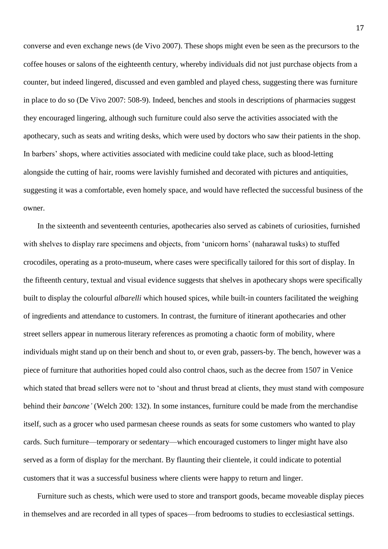converse and even exchange news (de Vivo 2007). These shops might even be seen as the precursors to the coffee houses or salons of the eighteenth century, whereby individuals did not just purchase objects from a counter, but indeed lingered, discussed and even gambled and played chess, suggesting there was furniture in place to do so (De Vivo 2007: 508-9). Indeed, benches and stools in descriptions of pharmacies suggest they encouraged lingering, although such furniture could also serve the activities associated with the apothecary, such as seats and writing desks, which were used by doctors who saw their patients in the shop. In barbers' shops, where activities associated with medicine could take place, such as blood-letting alongside the cutting of hair, rooms were lavishly furnished and decorated with pictures and antiquities, suggesting it was a comfortable, even homely space, and would have reflected the successful business of the owner.

In the sixteenth and seventeenth centuries, apothecaries also served as cabinets of curiosities, furnished with shelves to display rare specimens and objects, from 'unicorn horns' (naharawal tusks) to stuffed crocodiles, operating as a proto-museum, where cases were specifically tailored for this sort of display. In the fifteenth century, textual and visual evidence suggests that shelves in apothecary shops were specifically built to display the colourful *albarelli* which housed spices, while built-in counters facilitated the weighing of ingredients and attendance to customers. In contrast, the furniture of itinerant apothecaries and other street sellers appear in numerous literary references as promoting a chaotic form of mobility, where individuals might stand up on their bench and shout to, or even grab, passers-by. The bench, however was a piece of furniture that authorities hoped could also control chaos, such as the decree from 1507 in Venice which stated that bread sellers were not to 'shout and thrust bread at clients, they must stand with composure behind their *bancone'* (Welch 200: 132). In some instances, furniture could be made from the merchandise itself, such as a grocer who used parmesan cheese rounds as seats for some customers who wanted to play cards. Such furniture—temporary or sedentary—which encouraged customers to linger might have also served as a form of display for the merchant. By flaunting their clientele, it could indicate to potential customers that it was a successful business where clients were happy to return and linger.

Furniture such as chests, which were used to store and transport goods, became moveable display pieces in themselves and are recorded in all types of spaces—from bedrooms to studies to ecclesiastical settings.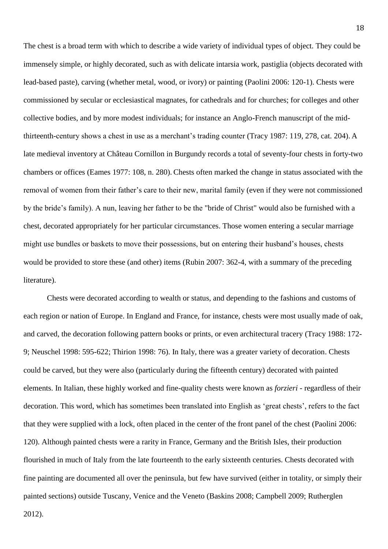The chest is a broad term with which to describe a wide variety of individual types of object. They could be immensely simple, or highly decorated, such as with delicate intarsia work, pastiglia (objects decorated with lead-based paste), carving (whether metal, wood, or ivory) or painting (Paolini 2006: 120-1). Chests were commissioned by secular or ecclesiastical magnates, for cathedrals and for churches; for colleges and other collective bodies, and by more modest individuals; for instance an Anglo-French manuscript of the midthirteenth-century shows a chest in use as a merchant's trading counter (Tracy 1987: 119, 278, cat. 204). A late medieval inventory at Château Cornillon in Burgundy records a total of seventy-four chests in forty-two chambers or offices (Eames 1977: 108, n. 280). Chests often marked the change in status associated with the removal of women from their father's care to their new, marital family (even if they were not commissioned by the bride's family). A nun, leaving her father to be the "bride of Christ" would also be furnished with a chest, decorated appropriately for her particular circumstances. Those women entering a secular marriage might use bundles or baskets to move their possessions, but on entering their husband's houses, chests would be provided to store these (and other) items (Rubin 2007: 362-4, with a summary of the preceding literature).

Chests were decorated according to wealth or status, and depending to the fashions and customs of each region or nation of Europe. In England and France, for instance, chests were most usually made of oak, and carved, the decoration following pattern books or prints, or even architectural tracery (Tracy 1988: 172- 9; Neuschel 1998: 595-622; Thirion 1998: 76). In Italy, there was a greater variety of decoration. Chests could be carved, but they were also (particularly during the fifteenth century) decorated with painted elements. In Italian, these highly worked and fine-quality chests were known as *forzieri* - regardless of their decoration. This word, which has sometimes been translated into English as 'great chests', refers to the fact that they were supplied with a lock, often placed in the center of the front panel of the chest (Paolini 2006: 120). Although painted chests were a rarity in France, Germany and the British Isles, their production flourished in much of Italy from the late fourteenth to the early sixteenth centuries. Chests decorated with fine painting are documented all over the peninsula, but few have survived (either in totality, or simply their painted sections) outside Tuscany, Venice and the Veneto (Baskins 2008; Campbell 2009; Rutherglen

2012).

18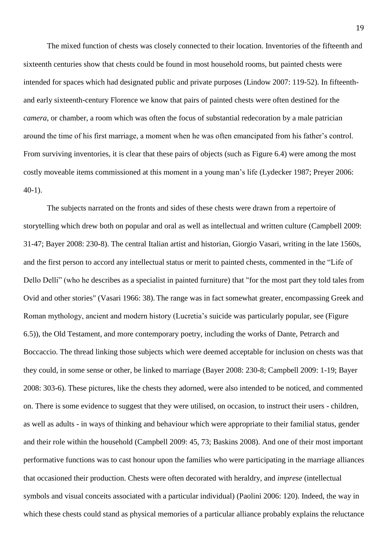The mixed function of chests was closely connected to their location. Inventories of the fifteenth and sixteenth centuries show that chests could be found in most household rooms, but painted chests were intended for spaces which had designated public and private purposes (Lindow 2007: 119-52). In fifteenthand early sixteenth-century Florence we know that pairs of painted chests were often destined for the *camera*, or chamber, a room which was often the focus of substantial redecoration by a male patrician around the time of his first marriage, a moment when he was often emancipated from his father's control. From surviving inventories, it is clear that these pairs of objects (such as Figure 6.4) were among the most costly moveable items commissioned at this moment in a young man's life (Lydecker 1987; Preyer 2006: 40-1).

The subjects narrated on the fronts and sides of these chests were drawn from a repertoire of storytelling which drew both on popular and oral as well as intellectual and written culture (Campbell 2009: 31-47; Bayer 2008: 230-8). The central Italian artist and historian, Giorgio Vasari, writing in the late 1560s, and the first person to accord any intellectual status or merit to painted chests, commented in the "Life of Dello Delli" (who he describes as a specialist in painted furniture) that "for the most part they told tales from Ovid and other stories" (Vasari 1966: 38). The range was in fact somewhat greater, encompassing Greek and Roman mythology, ancient and modern history (Lucretia's suicide was particularly popular, see (Figure 6.5)), the Old Testament, and more contemporary poetry, including the works of Dante, Petrarch and Boccaccio. The thread linking those subjects which were deemed acceptable for inclusion on chests was that they could, in some sense or other, be linked to marriage (Bayer 2008: 230-8; Campbell 2009: 1-19; Bayer 2008: 303-6). These pictures, like the chests they adorned, were also intended to be noticed, and commented on. There is some evidence to suggest that they were utilised, on occasion, to instruct their users - children, as well as adults - in ways of thinking and behaviour which were appropriate to their familial status, gender and their role within the household (Campbell 2009: 45, 73; Baskins 2008). And one of their most important performative functions was to cast honour upon the families who were participating in the marriage alliances that occasioned their production. Chests were often decorated with heraldry, and *imprese* (intellectual symbols and visual conceits associated with a particular individual) (Paolini 2006: 120). Indeed, the way in which these chests could stand as physical memories of a particular alliance probably explains the reluctance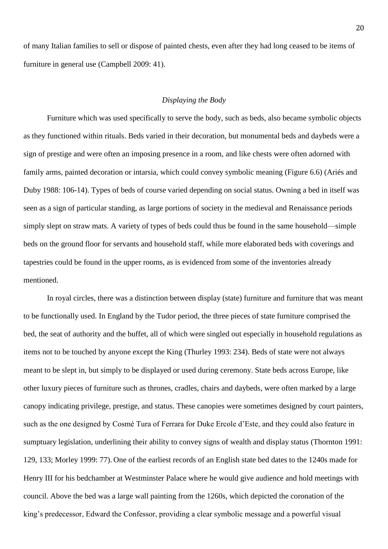of many Italian families to sell or dispose of painted chests, even after they had long ceased to be items of furniture in general use (Campbell 2009: 41).

#### *Displaying the Body*

Furniture which was used specifically to serve the body, such as beds, also became symbolic objects as they functioned within rituals. Beds varied in their decoration, but monumental beds and daybeds were a sign of prestige and were often an imposing presence in a room, and like chests were often adorned with family arms, painted decoration or intarsia, which could convey symbolic meaning (Figure 6.6) (Ariés and Duby 1988: 106-14). Types of beds of course varied depending on social status. Owning a bed in itself was seen as a sign of particular standing, as large portions of society in the medieval and Renaissance periods simply slept on straw mats. A variety of types of beds could thus be found in the same household—simple beds on the ground floor for servants and household staff, while more elaborated beds with coverings and tapestries could be found in the upper rooms, as is evidenced from some of the inventories already mentioned.

In royal circles, there was a distinction between display (state) furniture and furniture that was meant to be functionally used. In England by the Tudor period, the three pieces of state furniture comprised the bed, the seat of authority and the buffet, all of which were singled out especially in household regulations as items not to be touched by anyone except the King (Thurley 1993: 234). Beds of state were not always meant to be slept in, but simply to be displayed or used during ceremony. State beds across Europe, like other luxury pieces of furniture such as thrones, cradles, chairs and daybeds, were often marked by a large canopy indicating privilege, prestige, and status. These canopies were sometimes designed by court painters, such as the one designed by Cosmé Tura of Ferrara for Duke Ercole d'Este, and they could also feature in sumptuary legislation, underlining their ability to convey signs of wealth and display status (Thornton 1991: 129, 133; Morley 1999: 77). One of the earliest records of an English state bed dates to the 1240s made for Henry III for his bedchamber at Westminster Palace where he would give audience and hold meetings with council. Above the bed was a large wall painting from the 1260s, which depicted the coronation of the king's predecessor, Edward the Confessor, providing a clear symbolic message and a powerful visual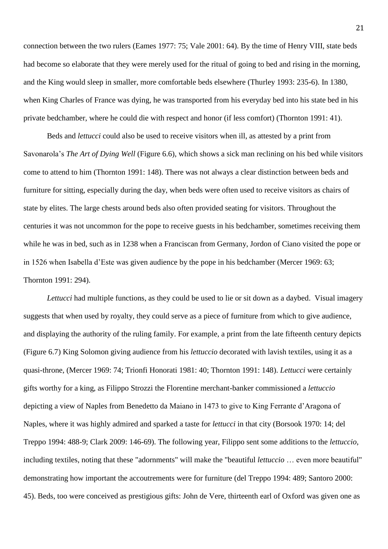connection between the two rulers (Eames 1977: 75; Vale 2001: 64). By the time of Henry VIII, state beds had become so elaborate that they were merely used for the ritual of going to bed and rising in the morning, and the King would sleep in smaller, more comfortable beds elsewhere (Thurley 1993: 235-6). In 1380, when King Charles of France was dying, he was transported from his everyday bed into his state bed in his private bedchamber, where he could die with respect and honor (if less comfort) (Thornton 1991: 41).

Beds and *lettucci* could also be used to receive visitors when ill, as attested by a print from Savonarola's *The Art of Dying Well* (Figure 6.6), which shows a sick man reclining on his bed while visitors come to attend to him (Thornton 1991: 148). There was not always a clear distinction between beds and furniture for sitting, especially during the day, when beds were often used to receive visitors as chairs of state by elites. The large chests around beds also often provided seating for visitors. Throughout the centuries it was not uncommon for the pope to receive guests in his bedchamber, sometimes receiving them while he was in bed, such as in 1238 when a Franciscan from Germany, Jordon of Ciano visited the pope or in 1526 when Isabella d'Este was given audience by the pope in his bedchamber (Mercer 1969: 63; Thornton 1991: 294).

*Lettucci* had multiple functions, as they could be used to lie or sit down as a daybed. Visual imagery suggests that when used by royalty, they could serve as a piece of furniture from which to give audience, and displaying the authority of the ruling family. For example, a print from the late fifteenth century depicts (Figure 6.7) King Solomon giving audience from his *lettuccio* decorated with lavish textiles, using it as a quasi-throne, (Mercer 1969: 74; Trionfi Honorati 1981: 40; Thornton 1991: 148). *Lettucci* were certainly gifts worthy for a king, as Filippo Strozzi the Florentine merchant-banker commissioned a *lettuccio* depicting a view of Naples from Benedetto da Maiano in 1473 to give to King Ferrante d'Aragona of Naples, where it was highly admired and sparked a taste for *lettucci* in that city (Borsook 1970: 14; del Treppo 1994: 488-9; Clark 2009: 146-69). The following year, Filippo sent some additions to the *lettuccio*, including textiles, noting that these "adornments" will make the "beautiful *lettuccio* … even more beautiful" demonstrating how important the accoutrements were for furniture (del Treppo 1994: 489; Santoro 2000: 45). Beds, too were conceived as prestigious gifts: John de Vere, thirteenth earl of Oxford was given one as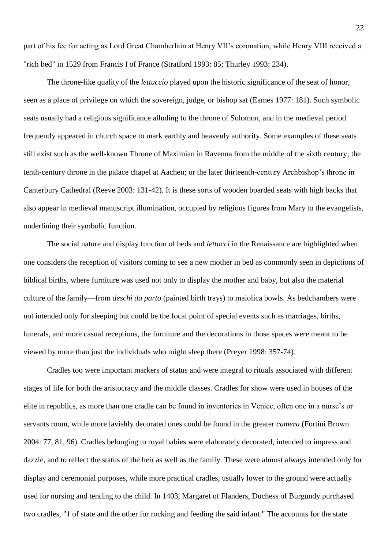part of his fee for acting as Lord Great Chamberlain at Henry VII's coronation, while Henry VIII received a "rich bed" in 1529 from Francis I of France (Stratford 1993: 85; Thurley 1993: 234).

The throne-like quality of the *lettuccio* played upon the historic significance of the seat of honor, seen as a place of privilege on which the sovereign, judge, or bishop sat (Eames 1977: 181). Such symbolic seats usually had a religious significance alluding to the throne of Solomon, and in the medieval period frequently appeared in church space to mark earthly and heavenly authority. Some examples of these seats still exist such as the well-known Throne of Maximian in Ravenna from the middle of the sixth century; the tenth-century throne in the palace chapel at Aachen; or the later thirteenth-century Archbishop's throne in Canterbury Cathedral (Reeve 2003: 131-42). It is these sorts of wooden boarded seats with high backs that also appear in medieval manuscript illumination, occupied by religious figures from Mary to the evangelists, underlining their symbolic function.

The social nature and display function of beds and *lettucci* in the Renaissance are highlighted when one considers the reception of visitors coming to see a new mother in bed as commonly seen in depictions of biblical births, where furniture was used not only to display the mother and baby, but also the material culture of the family—from *deschi da parto* (painted birth trays) to maiolica bowls. As bedchambers were not intended only for sleeping but could be the focal point of special events such as marriages, births, funerals, and more casual receptions, the furniture and the decorations in those spaces were meant to be viewed by more than just the individuals who might sleep there (Preyer 1998: 357-74).

Cradles too were important markers of status and were integral to rituals associated with different stages of life for both the aristocracy and the middle classes. Cradles for show were used in houses of the elite in republics, as more than one cradle can be found in inventories in Venice, often one in a nurse's or servants room, while more lavishly decorated ones could be found in the greater *camera* (Fortini Brown 2004: 77, 81, 96)*.* Cradles belonging to royal babies were elaborately decorated, intended to impress and dazzle, and to reflect the status of the heir as well as the family. These were almost always intended only for display and ceremonial purposes, while more practical cradles, usually lower to the ground were actually used for nursing and tending to the child. In 1403, Margaret of Flanders, Duchess of Burgundy purchased two cradles, "1 of state and the other for rocking and feeding the said infant." The accounts for the state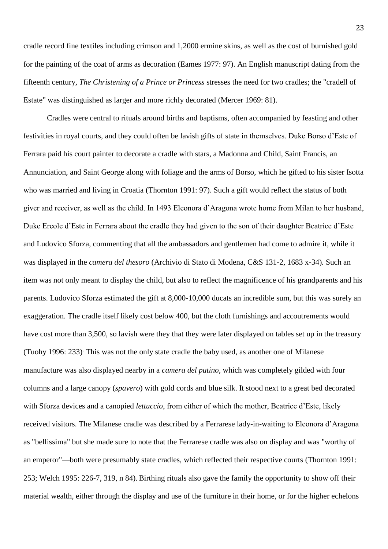cradle record fine textiles including crimson and 1,2000 ermine skins, as well as the cost of burnished gold for the painting of the coat of arms as decoration (Eames 1977: 97). An English manuscript dating from the fifteenth century, *The Christening of a Prince or Princess* stresses the need for two cradles; the "cradell of Estate" was distinguished as larger and more richly decorated (Mercer 1969: 81).

Cradles were central to rituals around births and baptisms, often accompanied by feasting and other festivities in royal courts, and they could often be lavish gifts of state in themselves. Duke Borso d'Este of Ferrara paid his court painter to decorate a cradle with stars, a Madonna and Child, Saint Francis, an Annunciation, and Saint George along with foliage and the arms of Borso, which he gifted to his sister Isotta who was married and living in Croatia (Thornton 1991: 97). Such a gift would reflect the status of both giver and receiver, as well as the child. In 1493 Eleonora d'Aragona wrote home from Milan to her husband, Duke Ercole d'Este in Ferrara about the cradle they had given to the son of their daughter Beatrice d'Este and Ludovico Sforza, commenting that all the ambassadors and gentlemen had come to admire it, while it was displayed in the *camera del thesoro* (Archivio di Stato di Modena, C&S 131-2, 1683 x-34)*.* Such an item was not only meant to display the child, but also to reflect the magnificence of his grandparents and his parents. Ludovico Sforza estimated the gift at 8,000-10,000 ducats an incredible sum, but this was surely an exaggeration. The cradle itself likely cost below 400, but the cloth furnishings and accoutrements would have cost more than 3,500, so lavish were they that they were later displayed on tables set up in the treasury (Tuohy 1996: 233). This was not the only state cradle the baby used, as another one of Milanese manufacture was also displayed nearby in a *camera del putino*, which was completely gilded with four columns and a large canopy (*spavero*) with gold cords and blue silk. It stood next to a great bed decorated with Sforza devices and a canopied *lettuccio*, from either of which the mother, Beatrice d'Este, likely received visitors. The Milanese cradle was described by a Ferrarese lady-in-waiting to Eleonora d'Aragona as "bellissima" but she made sure to note that the Ferrarese cradle was also on display and was "worthy of an emperor"—both were presumably state cradles, which reflected their respective courts (Thornton 1991: 253; Welch 1995: 226-7, 319, n 84). Birthing rituals also gave the family the opportunity to show off their material wealth, either through the display and use of the furniture in their home, or for the higher echelons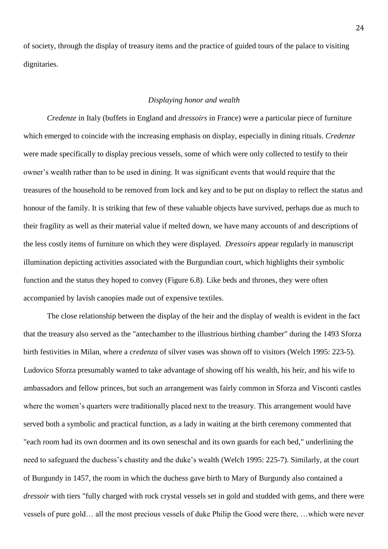of society, through the display of treasury items and the practice of guided tours of the palace to visiting dignitaries.

#### *Displaying honor and wealth*

*Credenze* in Italy (buffets in England and *dressoirs* in France) were a particular piece of furniture which emerged to coincide with the increasing emphasis on display, especially in dining rituals. *Credenze* were made specifically to display precious vessels, some of which were only collected to testify to their owner's wealth rather than to be used in dining. It was significant events that would require that the treasures of the household to be removed from lock and key and to be put on display to reflect the status and honour of the family. It is striking that few of these valuable objects have survived, perhaps due as much to their fragility as well as their material value if melted down, we have many accounts of and descriptions of the less costly items of furniture on which they were displayed. *Dressoirs* appear regularly in manuscript illumination depicting activities associated with the Burgundian court, which highlights their symbolic function and the status they hoped to convey (Figure 6.8). Like beds and thrones, they were often accompanied by lavish canopies made out of expensive textiles.

The close relationship between the display of the heir and the display of wealth is evident in the fact that the treasury also served as the "antechamber to the illustrious birthing chamber" during the 1493 Sforza birth festivities in Milan, where a *credenza* of silver vases was shown off to visitors (Welch 1995: 223-5). Ludovico Sforza presumably wanted to take advantage of showing off his wealth, his heir, and his wife to ambassadors and fellow princes, but such an arrangement was fairly common in Sforza and Visconti castles where the women's quarters were traditionally placed next to the treasury. This arrangement would have served both a symbolic and practical function, as a lady in waiting at the birth ceremony commented that "each room had its own doormen and its own seneschal and its own guards for each bed," underlining the need to safeguard the duchess's chastity and the duke's wealth (Welch 1995: 225-7). Similarly, at the court of Burgundy in 1457, the room in which the duchess gave birth to Mary of Burgundy also contained a *dressoir* with tiers "fully charged with rock crystal vessels set in gold and studded with gems, and there were vessels of pure gold… all the most precious vessels of duke Philip the Good were there, …which were never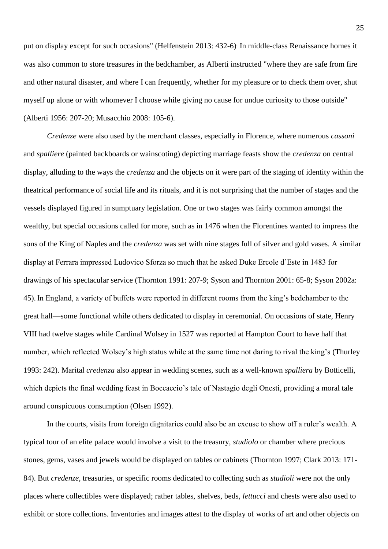put on display except for such occasions" (Helfenstein 2013: 432-6). In middle-class Renaissance homes it was also common to store treasures in the bedchamber, as Alberti instructed "where they are safe from fire and other natural disaster, and where I can frequently, whether for my pleasure or to check them over, shut myself up alone or with whomever I choose while giving no cause for undue curiosity to those outside" (Alberti 1956: 207-20; Musacchio 2008: 105-6).

*Credenze* were also used by the merchant classes, especially in Florence, where numerous *cassoni* and *spalliere* (painted backboards or wainscoting) depicting marriage feasts show the *credenza* on central display, alluding to the ways the *credenza* and the objects on it were part of the staging of identity within the theatrical performance of social life and its rituals, and it is not surprising that the number of stages and the vessels displayed figured in sumptuary legislation. One or two stages was fairly common amongst the wealthy, but special occasions called for more, such as in 1476 when the Florentines wanted to impress the sons of the King of Naples and the *credenza* was set with nine stages full of silver and gold vases. A similar display at Ferrara impressed Ludovico Sforza so much that he asked Duke Ercole d'Este in 1483 for drawings of his spectacular service (Thornton 1991: 207-9; Syson and Thornton 2001: 65-8; Syson 2002a: 45). In England, a variety of buffets were reported in different rooms from the king's bedchamber to the great hall—some functional while others dedicated to display in ceremonial. On occasions of state, Henry VIII had twelve stages while Cardinal Wolsey in 1527 was reported at Hampton Court to have half that number, which reflected Wolsey's high status while at the same time not daring to rival the king's (Thurley 1993: 242). Marital *credenza* also appear in wedding scenes, such as a well-known *spalliera* by Botticelli, which depicts the final wedding feast in Boccaccio's tale of Nastagio degli Onesti, providing a moral tale around conspicuous consumption (Olsen 1992).

In the courts, visits from foreign dignitaries could also be an excuse to show off a ruler's wealth. A typical tour of an elite palace would involve a visit to the treasury, *studiolo* or chamber where precious stones, gems, vases and jewels would be displayed on tables or cabinets (Thornton 1997; Clark 2013: 171- 84). But *credenze,* treasuries, or specific rooms dedicated to collecting such as *studioli* were not the only places where collectibles were displayed; rather tables, shelves, beds, *lettucci* and chests were also used to exhibit or store collections. Inventories and images attest to the display of works of art and other objects on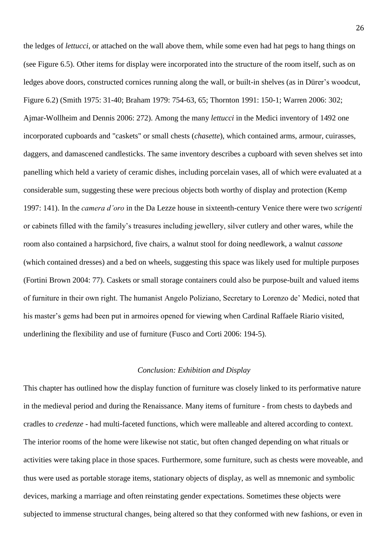the ledges of *lettucci*, or attached on the wall above them, while some even had hat pegs to hang things on (see Figure 6.5). Other items for display were incorporated into the structure of the room itself, such as on ledges above doors, constructed cornices running along the wall, or built-in shelves (as in Dürer's woodcut, Figure 6.2) (Smith 1975: 31-40; Braham 1979: 754-63, 65; Thornton 1991: 150-1; Warren 2006: 302; Ajmar-Wollheim and Dennis 2006: 272). Among the many *lettucci* in the Medici inventory of 1492 one incorporated cupboards and "caskets" or small chests (*chasette*), which contained arms, armour, cuirasses, daggers, and damascened candlesticks. The same inventory describes a cupboard with seven shelves set into panelling which held a variety of ceramic dishes, including porcelain vases, all of which were evaluated at a considerable sum, suggesting these were precious objects both worthy of display and protection (Kemp 1997: 141). In the *camera d'oro* in the Da Lezze house in sixteenth-century Venice there were two *scrigenti*  or cabinets filled with the family's treasures including jewellery, silver cutlery and other wares, while the room also contained a harpsichord, five chairs, a walnut stool for doing needlework, a walnut *cassone* (which contained dresses) and a bed on wheels, suggesting this space was likely used for multiple purposes (Fortini Brown 2004: 77). Caskets or small storage containers could also be purpose-built and valued items of furniture in their own right. The humanist Angelo Poliziano, Secretary to Lorenzo de' Medici, noted that his master's gems had been put in armoires opened for viewing when Cardinal Raffaele Riario visited, underlining the flexibility and use of furniture (Fusco and Corti 2006: 194-5).

#### *Conclusion: Exhibition and Display*

This chapter has outlined how the display function of furniture was closely linked to its performative nature in the medieval period and during the Renaissance. Many items of furniture - from chests to daybeds and cradles to *credenze -* had multi-faceted functions, which were malleable and altered according to context. The interior rooms of the home were likewise not static, but often changed depending on what rituals or activities were taking place in those spaces. Furthermore, some furniture, such as chests were moveable, and thus were used as portable storage items, stationary objects of display, as well as mnemonic and symbolic devices, marking a marriage and often reinstating gender expectations. Sometimes these objects were subjected to immense structural changes, being altered so that they conformed with new fashions, or even in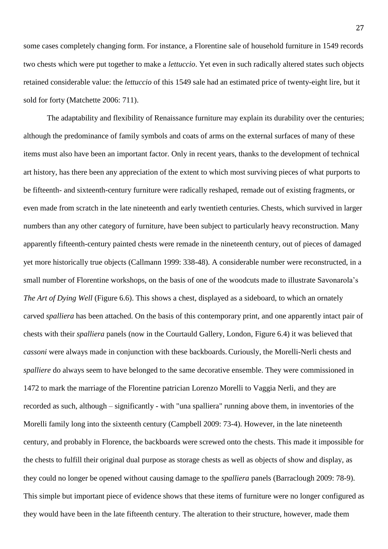some cases completely changing form. For instance, a Florentine sale of household furniture in 1549 records two chests which were put together to make a *lettuccio*. Yet even in such radically altered states such objects retained considerable value: the *lettuccio* of this 1549 sale had an estimated price of twenty-eight lire, but it sold for forty (Matchette 2006: 711).

The adaptability and flexibility of Renaissance furniture may explain its durability over the centuries; although the predominance of family symbols and coats of arms on the external surfaces of many of these items must also have been an important factor. Only in recent years, thanks to the development of technical art history, has there been any appreciation of the extent to which most surviving pieces of what purports to be fifteenth- and sixteenth-century furniture were radically reshaped, remade out of existing fragments, or even made from scratch in the late nineteenth and early twentieth centuries. Chests, which survived in larger numbers than any other category of furniture, have been subject to particularly heavy reconstruction. Many apparently fifteenth-century painted chests were remade in the nineteenth century, out of pieces of damaged yet more historically true objects (Callmann 1999: 338-48). A considerable number were reconstructed, in a small number of Florentine workshops, on the basis of one of the woodcuts made to illustrate Savonarola's *The Art of Dying Well* (Figure 6.6). This shows a chest, displayed as a sideboard, to which an ornately carved *spalliera* has been attached. On the basis of this contemporary print, and one apparently intact pair of chests with their *spalliera* panels (now in the Courtauld Gallery, London, Figure 6.4) it was believed that *cassoni* were always made in conjunction with these backboards. Curiously, the Morelli-Nerli chests and *spalliere* do always seem to have belonged to the same decorative ensemble. They were commissioned in 1472 to mark the marriage of the Florentine patrician Lorenzo Morelli to Vaggia Nerli, and they are recorded as such, although – significantly - with "una spalliera" running above them, in inventories of the Morelli family long into the sixteenth century (Campbell 2009: 73-4). However, in the late nineteenth century, and probably in Florence, the backboards were screwed onto the chests. This made it impossible for the chests to fulfill their original dual purpose as storage chests as well as objects of show and display, as they could no longer be opened without causing damage to the *spalliera* panels (Barraclough 2009: 78-9). This simple but important piece of evidence shows that these items of furniture were no longer configured as they would have been in the late fifteenth century. The alteration to their structure, however, made them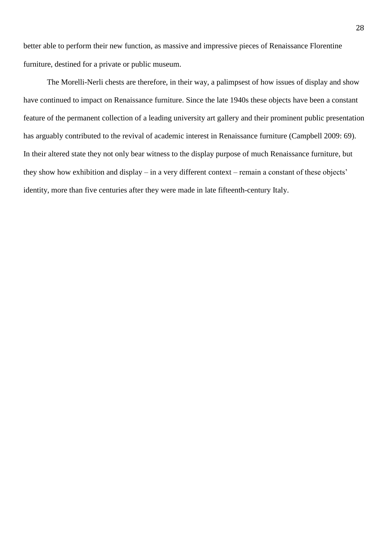better able to perform their new function, as massive and impressive pieces of Renaissance Florentine furniture, destined for a private or public museum.

The Morelli-Nerli chests are therefore, in their way, a palimpsest of how issues of display and show have continued to impact on Renaissance furniture. Since the late 1940s these objects have been a constant feature of the permanent collection of a leading university art gallery and their prominent public presentation has arguably contributed to the revival of academic interest in Renaissance furniture (Campbell 2009: 69). In their altered state they not only bear witness to the display purpose of much Renaissance furniture, but they show how exhibition and display – in a very different context – remain a constant of these objects' identity, more than five centuries after they were made in late fifteenth-century Italy.